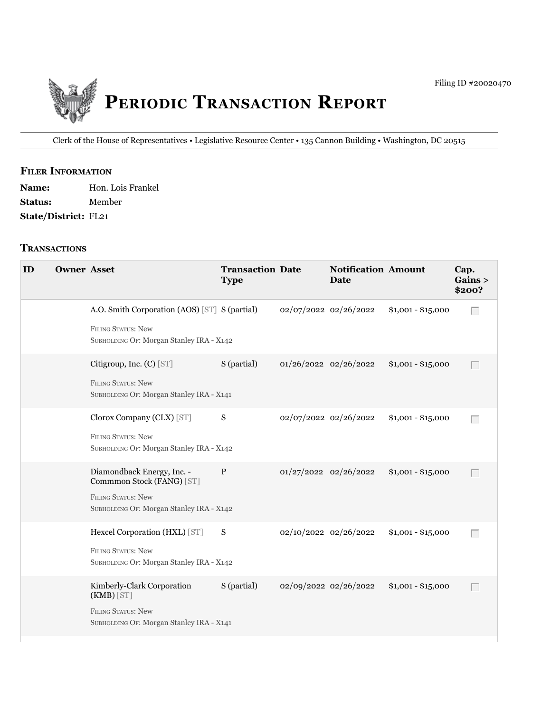

Clerk of the House of Representatives • Legislative Resource Center • 135 Cannon building • Washington, DC 20515

# **fIler INfOrmATION**

| <b>Name:</b>                | Hon. Lois Frankel |
|-----------------------------|-------------------|
| <b>Status:</b>              | Member            |
| <b>State/District: FL21</b> |                   |

#### **TrANSACTIONS**

| ID | <b>Owner Asset</b> |                                                                                                                                  | <b>Transaction Date</b><br><b>Type</b> |                       | <b>Notification Amount</b><br><b>Date</b> |                    | Cap.<br>Gains ><br>\$200? |
|----|--------------------|----------------------------------------------------------------------------------------------------------------------------------|----------------------------------------|-----------------------|-------------------------------------------|--------------------|---------------------------|
|    |                    | A.O. Smith Corporation (AOS) [ST] S (partial)<br>FILING STATUS: New<br>SUBHOLDING OF: Morgan Stanley IRA - X142                  |                                        | 02/07/2022 02/26/2022 |                                           | $$1,001 - $15,000$ | Г                         |
|    |                    | Citigroup, Inc. (C) [ST]<br><b>FILING STATUS: New</b><br>SUBHOLDING OF: Morgan Stanley IRA - X141                                | S (partial)                            | 01/26/2022 02/26/2022 |                                           | $$1,001 - $15,000$ | $\Box$                    |
|    |                    | Clorox Company (CLX) [ST]<br><b>FILING STATUS: New</b><br>SUBHOLDING OF: Morgan Stanley IRA - X142                               | S                                      | 02/07/2022 02/26/2022 |                                           | $$1,001 - $15,000$ | Г                         |
|    |                    | Diamondback Energy, Inc. -<br>Commmon Stock (FANG) [ST]<br><b>FILING STATUS: New</b><br>SUBHOLDING OF: Morgan Stanley IRA - X142 | P                                      | 01/27/2022 02/26/2022 |                                           | $$1,001 - $15,000$ | Г                         |
|    |                    | Hexcel Corporation (HXL) [ST]<br><b>FILING STATUS: New</b><br>SUBHOLDING OF: Morgan Stanley IRA - X142                           | S                                      | 02/10/2022 02/26/2022 |                                           | $$1,001 - $15,000$ | Г                         |
|    |                    | Kimberly-Clark Corporation<br>$(KMB)$ [ST]<br>FILING STATUS: New<br>SUBHOLDING OF: Morgan Stanley IRA - X141                     | S (partial)                            | 02/09/2022 02/26/2022 |                                           | $$1,001 - $15,000$ | Г                         |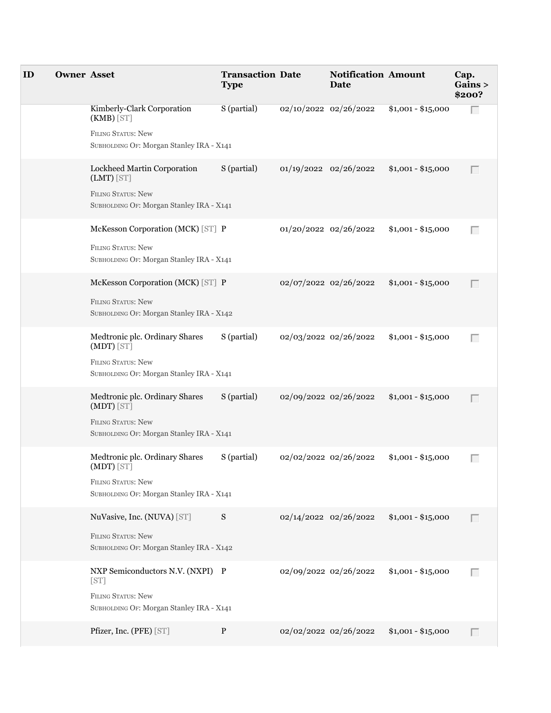| ID | <b>Owner Asset</b> |                                                                       | <b>Transaction Date</b><br><b>Type</b> |                       | <b>Notification Amount</b><br>Date |                    | Cap.<br>Gains ><br>\$200? |
|----|--------------------|-----------------------------------------------------------------------|----------------------------------------|-----------------------|------------------------------------|--------------------|---------------------------|
|    |                    | Kimberly-Clark Corporation<br>$(KMB)$ [ST]                            | S (partial)                            |                       | 02/10/2022 02/26/2022              | $$1,001 - $15,000$ | Г                         |
|    |                    | <b>FILING STATUS: New</b><br>SUBHOLDING OF: Morgan Stanley IRA - X141 |                                        |                       |                                    |                    |                           |
|    |                    | Lockheed Martin Corporation<br>$(LMT)$ [ST]                           | S (partial)                            | 01/19/2022 02/26/2022 |                                    | $$1,001 - $15,000$ | Г                         |
|    |                    | FILING STATUS: New<br>SUBHOLDING OF: Morgan Stanley IRA - X141        |                                        |                       |                                    |                    |                           |
|    |                    | McKesson Corporation (MCK) [ST] P                                     |                                        |                       | 01/20/2022 02/26/2022              | $$1,001 - $15,000$ | Г                         |
|    |                    | <b>FILING STATUS: New</b><br>SUBHOLDING OF: Morgan Stanley IRA - X141 |                                        |                       |                                    |                    |                           |
|    |                    | McKesson Corporation (MCK) [ST] P                                     |                                        |                       | 02/07/2022 02/26/2022              | $$1,001 - $15,000$ | Г                         |
|    |                    | <b>FILING STATUS: New</b><br>SUBHOLDING OF: Morgan Stanley IRA - X142 |                                        |                       |                                    |                    |                           |
|    |                    | Medtronic plc. Ordinary Shares<br>$(MDT)$ [ST]                        | S (partial)                            |                       | 02/03/2022 02/26/2022              | $$1,001 - $15,000$ | Г                         |
|    |                    | <b>FILING STATUS: New</b><br>SUBHOLDING OF: Morgan Stanley IRA - X141 |                                        |                       |                                    |                    |                           |
|    |                    | Medtronic plc. Ordinary Shares<br>(MDT) [ST]                          | S (partial)                            | 02/09/2022 02/26/2022 |                                    | $$1,001 - $15,000$ | Г                         |
|    |                    | <b>FILING STATUS: New</b><br>SUBHOLDING OF: Morgan Stanley IRA - X141 |                                        |                       |                                    |                    |                           |
|    |                    | Medtronic plc. Ordinary Shares<br>(MDT) [ST]                          | S (partial)                            | 02/02/2022 02/26/2022 |                                    | $$1,001 - $15,000$ | $\Box$                    |
|    |                    | <b>FILING STATUS: New</b><br>SUBHOLDING OF: Morgan Stanley IRA - X141 |                                        |                       |                                    |                    |                           |
|    |                    | NuVasive, Inc. (NUVA) [ST]                                            | S                                      |                       | 02/14/2022 02/26/2022              | $$1,001 - $15,000$ | Г                         |
|    |                    | FILING STATUS: New<br>SUBHOLDING OF: Morgan Stanley IRA - X142        |                                        |                       |                                    |                    |                           |
|    |                    | NXP Semiconductors N.V. (NXPI) P<br>[ST]                              |                                        | 02/09/2022 02/26/2022 |                                    | $$1,001 - $15,000$ | $\Box$                    |
|    |                    | <b>FILING STATUS: New</b><br>SUBHOLDING OF: Morgan Stanley IRA - X141 |                                        |                       |                                    |                    |                           |
|    |                    | Pfizer, Inc. (PFE) [ST]                                               | P                                      | 02/02/2022 02/26/2022 |                                    | $$1,001 - $15,000$ | $\Box$                    |